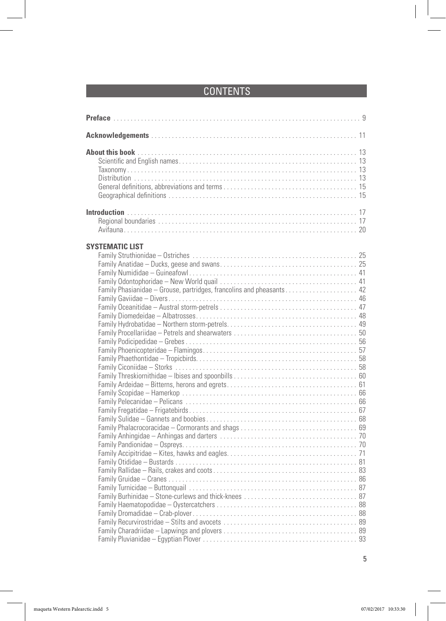## **CONTENTS**

| <b>SYSTEMATIC LIST</b><br>Family Phasianidae - Grouse, partridges, francolins and pheasants 42 |  |
|------------------------------------------------------------------------------------------------|--|